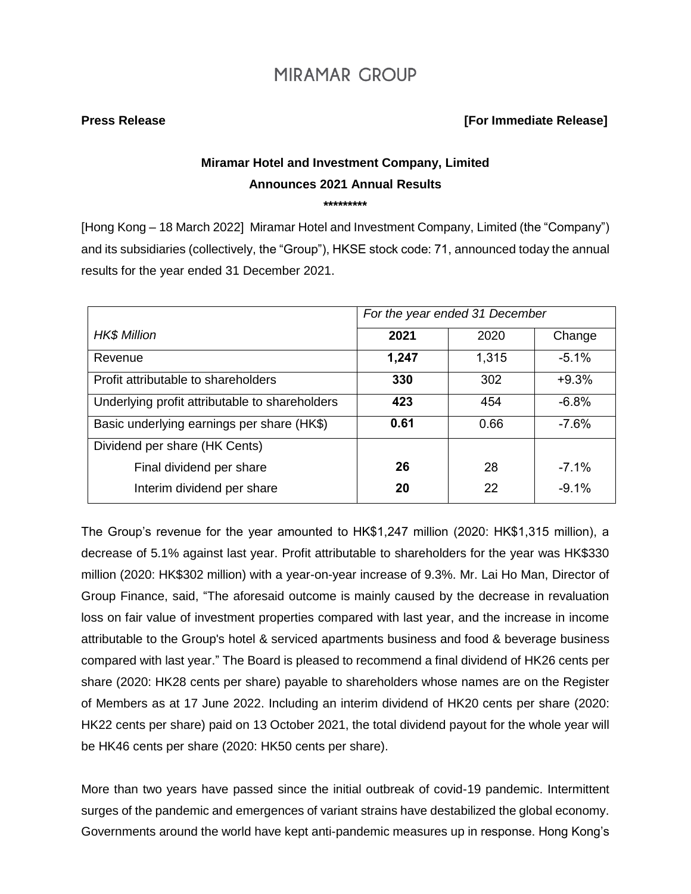### **Press Release [For Immediate Release]**

# **Miramar Hotel and Investment Company, Limited Announces 2021 Annual Results**

**\*\*\*\*\*\*\*\*\***

[Hong Kong – 18 March 2022] Miramar Hotel and Investment Company, Limited (the "Company") and its subsidiaries (collectively, the "Group"), HKSE stock code: 71, announced today the annual results for the year ended 31 December 2021.

|                                                | For the year ended 31 December |       |         |
|------------------------------------------------|--------------------------------|-------|---------|
| <b>HK\$ Million</b>                            | 2021                           | 2020  | Change  |
| Revenue                                        | 1,247                          | 1,315 | $-5.1%$ |
| Profit attributable to shareholders            | 330                            | 302   | $+9.3%$ |
| Underlying profit attributable to shareholders | 423                            | 454   | $-6.8%$ |
| Basic underlying earnings per share (HK\$)     | 0.61                           | 0.66  | $-7.6%$ |
| Dividend per share (HK Cents)                  |                                |       |         |
| Final dividend per share                       | 26                             | 28    | $-7.1%$ |
| Interim dividend per share                     | 20                             | 22    | $-9.1%$ |

The Group's revenue for the year amounted to HK\$1,247 million (2020: HK\$1,315 million), a decrease of 5.1% against last year. Profit attributable to shareholders for the year was HK\$330 million (2020: HK\$302 million) with a year-on-year increase of 9.3%. Mr. Lai Ho Man, Director of Group Finance, said, "The aforesaid outcome is mainly caused by the decrease in revaluation loss on fair value of investment properties compared with last year, and the increase in income attributable to the Group's hotel & serviced apartments business and food & beverage business compared with last year." The Board is pleased to recommend a final dividend of HK26 cents per share (2020: HK28 cents per share) payable to shareholders whose names are on the Register of Members as at 17 June 2022. Including an interim dividend of HK20 cents per share (2020: HK22 cents per share) paid on 13 October 2021, the total dividend payout for the whole year will be HK46 cents per share (2020: HK50 cents per share).

More than two years have passed since the initial outbreak of covid-19 pandemic. Intermittent surges of the pandemic and emergences of variant strains have destabilized the global economy. Governments around the world have kept anti-pandemic measures up in response. Hong Kong's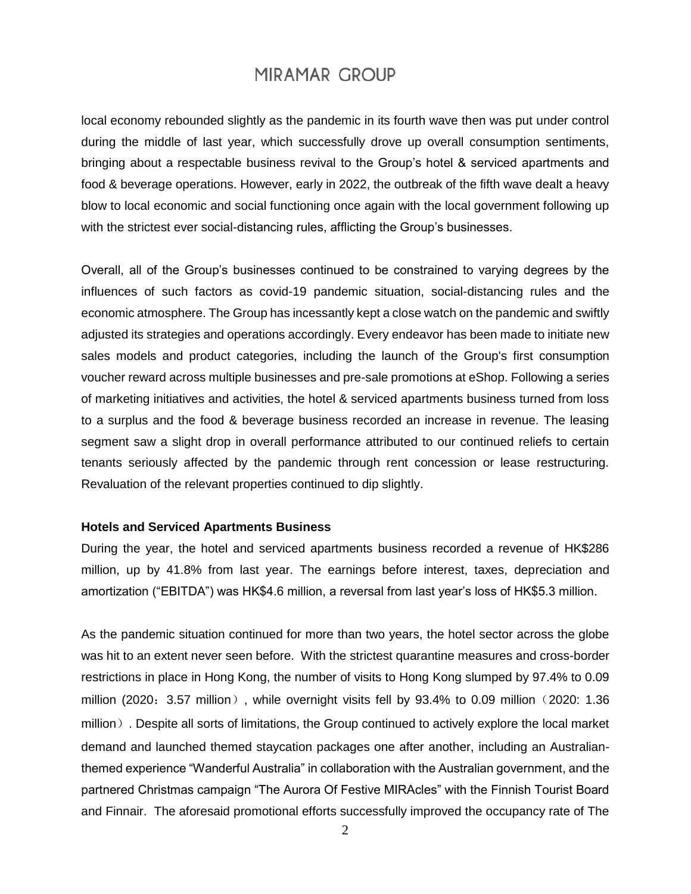local economy rebounded slightly as the pandemic in its fourth wave then was put under control during the middle of last year, which successfully drove up overall consumption sentiments, bringing about a respectable business revival to the Group's hotel & serviced apartments and food & beverage operations. However, early in 2022, the outbreak of the fifth wave dealt a heavy blow to local economic and social functioning once again with the local government following up with the strictest ever social-distancing rules, afflicting the Group's businesses.

Overall, all of the Group's businesses continued to be constrained to varying degrees by the influences of such factors as covid-19 pandemic situation, social-distancing rules and the economic atmosphere. The Group has incessantly kept a close watch on the pandemic and swiftly adjusted its strategies and operations accordingly. Every endeavor has been made to initiate new sales models and product categories, including the launch of the Group's first consumption voucher reward across multiple businesses and pre-sale promotions at eShop. Following a series of marketing initiatives and activities, the hotel & serviced apartments business turned from loss to a surplus and the food & beverage business recorded an increase in revenue. The leasing segment saw a slight drop in overall performance attributed to our continued reliefs to certain tenants seriously affected by the pandemic through rent concession or lease restructuring. Revaluation of the relevant properties continued to dip slightly.

### **Hotels and Serviced Apartments Business**

During the year, the hotel and serviced apartments business recorded a revenue of HK\$286 million, up by 41.8% from last year. The earnings before interest, taxes, depreciation and amortization ("EBITDA") was HK\$4.6 million, a reversal from last year's loss of HK\$5.3 million.

As the pandemic situation continued for more than two years, the hotel sector across the globe was hit to an extent never seen before. With the strictest quarantine measures and cross-border restrictions in place in Hong Kong, the number of visits to Hong Kong slumped by 97.4% to 0.09 million (2020:  $3.57$  million), while overnight visits fell by 93.4% to 0.09 million (2020: 1.36) million). Despite all sorts of limitations, the Group continued to actively explore the local market demand and launched themed staycation packages one after another, including an Australianthemed experience "Wanderful Australia" in collaboration with the Australian government, and the partnered Christmas campaign "The Aurora Of Festive MIRAcles" with the Finnish Tourist Board and Finnair. The aforesaid promotional efforts successfully improved the occupancy rate of The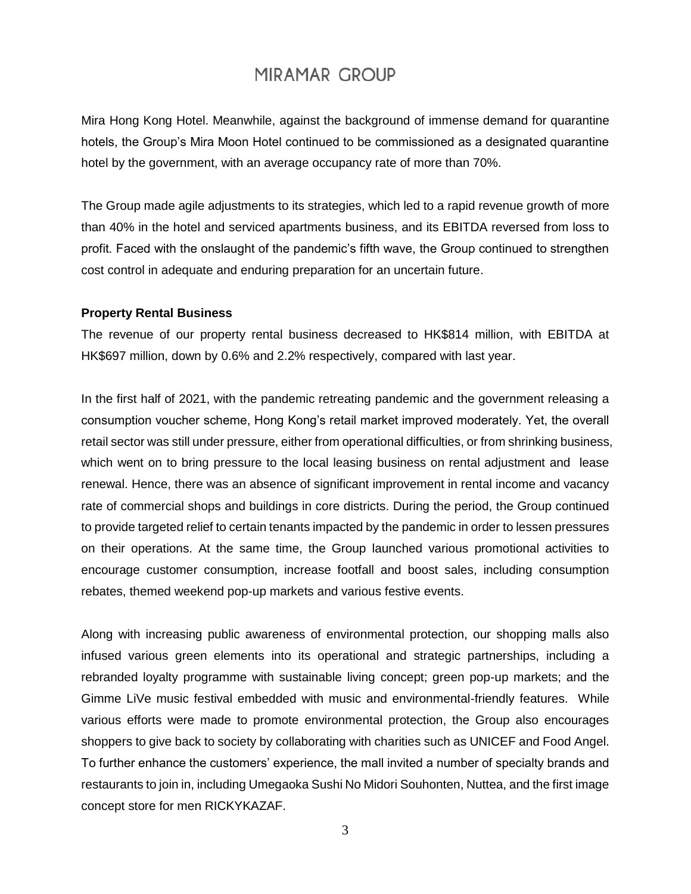Mira Hong Kong Hotel. Meanwhile, against the background of immense demand for quarantine hotels, the Group's Mira Moon Hotel continued to be commissioned as a designated quarantine hotel by the government, with an average occupancy rate of more than 70%.

The Group made agile adjustments to its strategies, which led to a rapid revenue growth of more than 40% in the hotel and serviced apartments business, and its EBITDA reversed from loss to profit. Faced with the onslaught of the pandemic's fifth wave, the Group continued to strengthen cost control in adequate and enduring preparation for an uncertain future.

#### **Property Rental Business**

The revenue of our property rental business decreased to HK\$814 million, with EBITDA at HK\$697 million, down by 0.6% and 2.2% respectively, compared with last year.

In the first half of 2021, with the pandemic retreating pandemic and the government releasing a consumption voucher scheme, Hong Kong's retail market improved moderately. Yet, the overall retail sector was still under pressure, either from operational difficulties, or from shrinking business, which went on to bring pressure to the local leasing business on rental adjustment and lease renewal. Hence, there was an absence of significant improvement in rental income and vacancy rate of commercial shops and buildings in core districts. During the period, the Group continued to provide targeted relief to certain tenants impacted by the pandemic in order to lessen pressures on their operations. At the same time, the Group launched various promotional activities to encourage customer consumption, increase footfall and boost sales, including consumption rebates, themed weekend pop-up markets and various festive events.

Along with increasing public awareness of environmental protection, our shopping malls also infused various green elements into its operational and strategic partnerships, including a rebranded loyalty programme with sustainable living concept; green pop-up markets; and the Gimme LiVe music festival embedded with music and environmental-friendly features. While various efforts were made to promote environmental protection, the Group also encourages shoppers to give back to society by collaborating with charities such as UNICEF and Food Angel. To further enhance the customers' experience, the mall invited a number of specialty brands and restaurants to join in, including Umegaoka Sushi No Midori Souhonten, Nuttea, and the first image concept store for men RICKYKAZAF.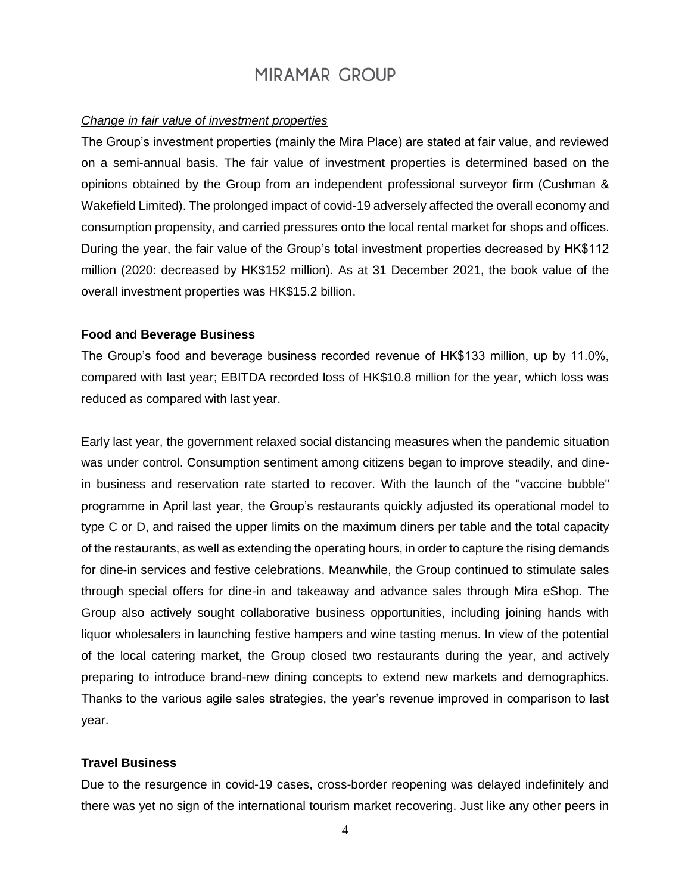#### *Change in fair value of investment properties*

The Group's investment properties (mainly the Mira Place) are stated at fair value, and reviewed on a semi-annual basis. The fair value of investment properties is determined based on the opinions obtained by the Group from an independent professional surveyor firm (Cushman & Wakefield Limited). The prolonged impact of covid-19 adversely affected the overall economy and consumption propensity, and carried pressures onto the local rental market for shops and offices. During the year, the fair value of the Group's total investment properties decreased by HK\$112 million (2020: decreased by HK\$152 million). As at 31 December 2021, the book value of the overall investment properties was HK\$15.2 billion.

#### **Food and Beverage Business**

The Group's food and beverage business recorded revenue of HK\$133 million, up by 11.0%, compared with last year; EBITDA recorded loss of HK\$10.8 million for the year, which loss was reduced as compared with last year.

Early last year, the government relaxed social distancing measures when the pandemic situation was under control. Consumption sentiment among citizens began to improve steadily, and dinein business and reservation rate started to recover. With the launch of the "vaccine bubble" programme in April last year, the Group's restaurants quickly adjusted its operational model to type C or D, and raised the upper limits on the maximum diners per table and the total capacity of the restaurants, as well as extending the operating hours, in order to capture the rising demands for dine-in services and festive celebrations. Meanwhile, the Group continued to stimulate sales through special offers for dine-in and takeaway and advance sales through Mira eShop. The Group also actively sought collaborative business opportunities, including joining hands with liquor wholesalers in launching festive hampers and wine tasting menus. In view of the potential of the local catering market, the Group closed two restaurants during the year, and actively preparing to introduce brand-new dining concepts to extend new markets and demographics. Thanks to the various agile sales strategies, the year's revenue improved in comparison to last year.

### **Travel Business**

Due to the resurgence in covid-19 cases, cross-border reopening was delayed indefinitely and there was yet no sign of the international tourism market recovering. Just like any other peers in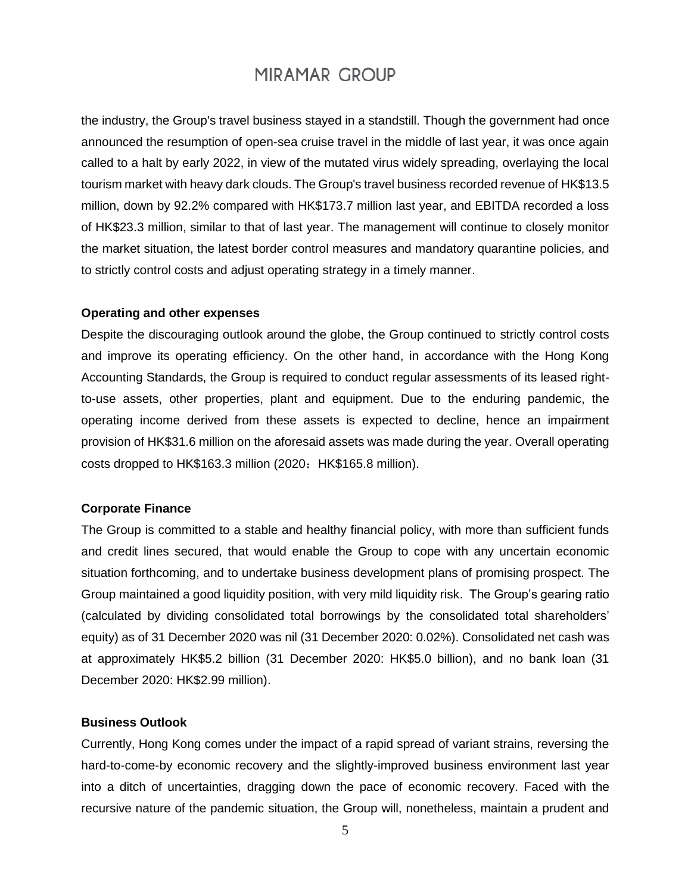the industry, the Group's travel business stayed in a standstill. Though the government had once announced the resumption of open-sea cruise travel in the middle of last year, it was once again called to a halt by early 2022, in view of the mutated virus widely spreading, overlaying the local tourism market with heavy dark clouds. The Group's travel business recorded revenue of HK\$13.5 million, down by 92.2% compared with HK\$173.7 million last year, and EBITDA recorded a loss of HK\$23.3 million, similar to that of last year. The management will continue to closely monitor the market situation, the latest border control measures and mandatory quarantine policies, and to strictly control costs and adjust operating strategy in a timely manner.

#### **Operating and other expenses**

Despite the discouraging outlook around the globe, the Group continued to strictly control costs and improve its operating efficiency. On the other hand, in accordance with the Hong Kong Accounting Standards, the Group is required to conduct regular assessments of its leased rightto-use assets, other properties, plant and equipment. Due to the enduring pandemic, the operating income derived from these assets is expected to decline, hence an impairment provision of HK\$31.6 million on the aforesaid assets was made during the year. Overall operating costs dropped to HK\$163.3 million (2020: HK\$165.8 million).

#### **Corporate Finance**

The Group is committed to a stable and healthy financial policy, with more than sufficient funds and credit lines secured, that would enable the Group to cope with any uncertain economic situation forthcoming, and to undertake business development plans of promising prospect. The Group maintained a good liquidity position, with very mild liquidity risk. The Group's gearing ratio (calculated by dividing consolidated total borrowings by the consolidated total shareholders' equity) as of 31 December 2020 was nil (31 December 2020: 0.02%). Consolidated net cash was at approximately HK\$5.2 billion (31 December 2020: HK\$5.0 billion), and no bank loan (31 December 2020: HK\$2.99 million).

### **Business Outlook**

Currently, Hong Kong comes under the impact of a rapid spread of variant strains, reversing the hard-to-come-by economic recovery and the slightly-improved business environment last year into a ditch of uncertainties, dragging down the pace of economic recovery. Faced with the recursive nature of the pandemic situation, the Group will, nonetheless, maintain a prudent and